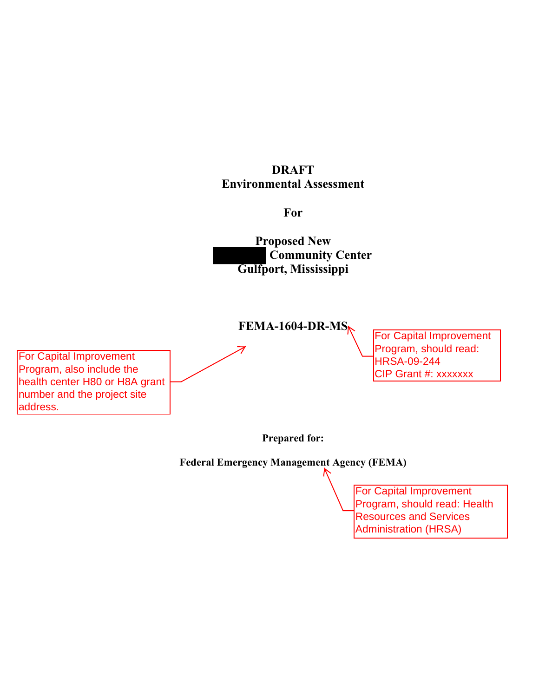## **DRAFT Environmental Assessment**

**For** 

**Proposed New Community Center Gulfport, Mississippi** 

**FEMA-1604-DR-MS** 

For Capital Improvement Program, also include the health center H80 or H8A grant number and the project site address.

For Capital Improvement Program, should read: HRSA-09-244 CIP Grant #: xxxxxxx

**Prepared for:** 

**Federal Emergency Management Agency (FEMA)** 

For Capital Improvement Program, should read: Health **Resources and Services** Administration (HRSA)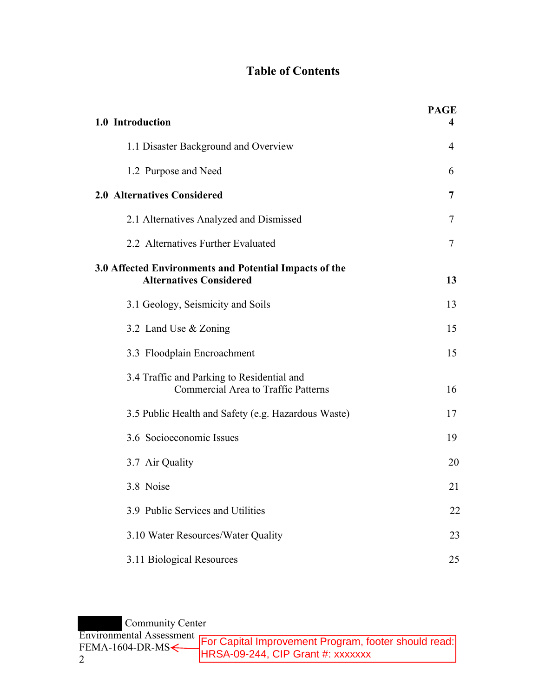# **Table of Contents**

| 1.0 Introduction                                                                         | <b>PAGE</b><br>4 |
|------------------------------------------------------------------------------------------|------------------|
| 1.1 Disaster Background and Overview                                                     | $\overline{4}$   |
| 1.2 Purpose and Need                                                                     | 6                |
| 2.0 Alternatives Considered                                                              | 7                |
| 2.1 Alternatives Analyzed and Dismissed                                                  | 7                |
| 2.2 Alternatives Further Evaluated                                                       | $\tau$           |
| 3.0 Affected Environments and Potential Impacts of the<br><b>Alternatives Considered</b> | 13               |
| 3.1 Geology, Seismicity and Soils                                                        | 13               |
| 3.2 Land Use & Zoning                                                                    | 15               |
| 3.3 Floodplain Encroachment                                                              | 15               |
| 3.4 Traffic and Parking to Residential and<br><b>Commercial Area to Traffic Patterns</b> | 16               |
| 3.5 Public Health and Safety (e.g. Hazardous Waste)                                      | 17               |
| 3.6 Socioeconomic Issues                                                                 | 19               |
| 3.7 Air Quality                                                                          | 20               |
| 3.8 Noise                                                                                | 21               |
| 3.9 Public Services and Utilities                                                        | 22               |
| 3.10 Water Resources/Water Quality                                                       | 23               |
| 3.11 Biological Resources                                                                | 25               |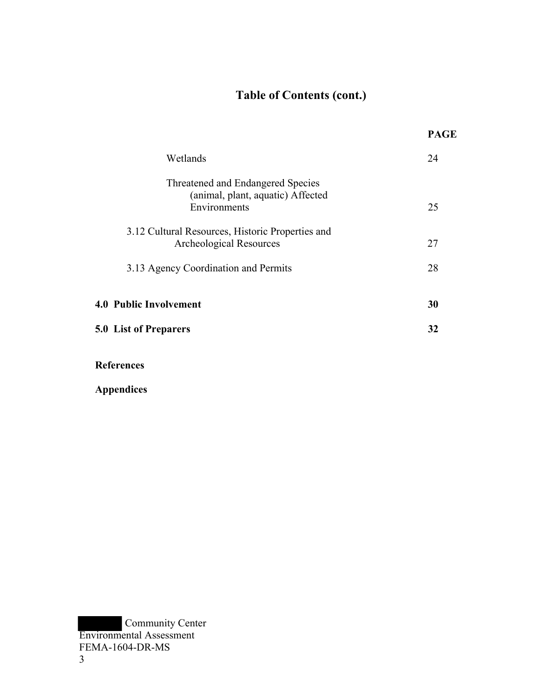# **Table of Contents (cont.)**

|                                                                                        | <b>PAGE</b> |
|----------------------------------------------------------------------------------------|-------------|
| Wetlands                                                                               | 24          |
| Threatened and Endangered Species<br>(animal, plant, aquatic) Affected<br>Environments | 25          |
| 3.12 Cultural Resources, Historic Properties and<br>Archeological Resources            | 27          |
| 3.13 Agency Coordination and Permits                                                   | 28          |
| 4.0 Public Involvement                                                                 | 30          |
| 5.0 List of Preparers                                                                  | 32          |
| <b>References</b>                                                                      |             |

**Appendices**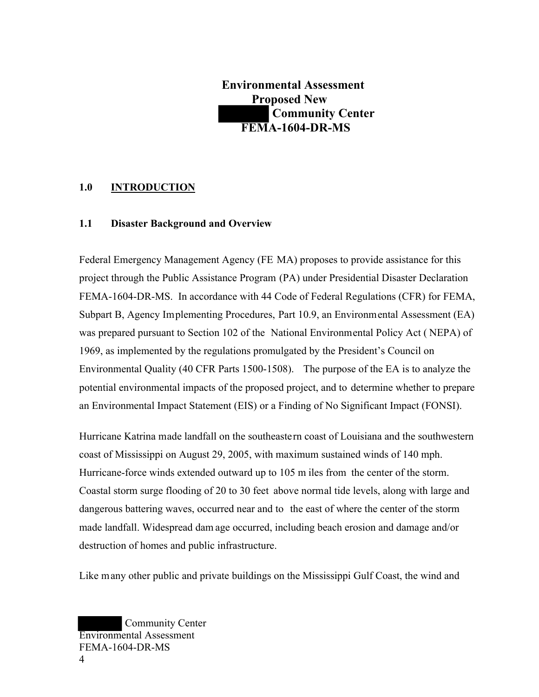**Environmental Assessment Proposed New Community Center FEMA-1604-DR-MS** 

### **1.0 INTRODUCTION**

#### **1.1 Disaster Background and Overview**

Federal Emergency Management Agency (FE MA) proposes to provide assistance for this project through the Public Assistance Program (PA) under Presidential Disaster Declaration FEMA-1604-DR-MS. In accordance with 44 Code of Federal Regulations (CFR) for FEMA, Subpart B, Agency Implementing Procedures, Part 10.9, an Environmental Assessment (EA) was prepared pursuant to Section 102 of the National Environmental Policy Act ( NEPA) of 1969, as implemented by the regulations promulgated by the President's Council on Environmental Quality (40 CFR Parts 1500-1508). The purpose of the EA is to analyze the potential environmental impacts of the proposed project, and to determine whether to prepare an Environmental Impact Statement (EIS) or a Finding of No Significant Impact (FONSI).

Hurricane Katrina made landfall on the southeastern coast of Louisiana and the southwestern coast of Mississippi on August 29, 2005, with maximum sustained winds of 140 mph. Hurricane-force winds extended outward up to 105 m iles from the center of the storm. Coastal storm surge flooding of 20 to 30 feet above normal tide levels, along with large and dangerous battering waves, occurred near and to the east of where the center of the storm made landfall. Widespread dam age occurred, including beach erosion and damage and/or destruction of homes and public infrastructure.

Like many other public and private buildings on the Mississippi Gulf Coast, the wind and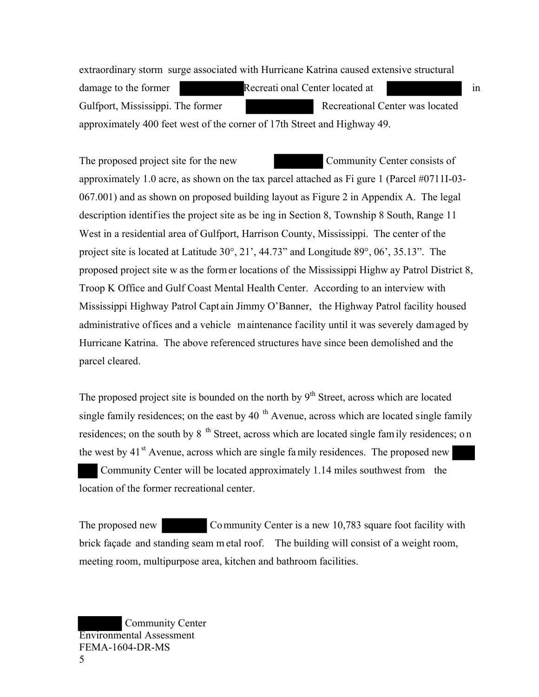extraordinary storm surge associated with Hurricane Katrina caused extensive structural damage to the former **Recreational Center located at** in Gulfport, Mississippi. The former Recreational Center was located approximately 400 feet west of the corner of 17th Street and Highway 49.

The proposed project site for the new Community Center consists of approximately 1.0 acre, as shown on the tax parcel attached as Fi gure 1 (Parcel #0711I-03- 067.001) and as shown on proposed building layout as Figure 2 in Appendix A. The legal description identif ies the project site as be ing in Section 8, Township 8 South, Range 11 West in a residential area of Gulfport, Harrison County, Mississippi. The center of the project site is located at Latitude 30°, 21', 44.73" and Longitude 89°, 06', 35.13". The proposed project site w as the form er locations of the Mississippi Highw ay Patrol District 8, Troop K Office and Gulf Coast Mental Health Center. According to an interview with Mississippi Highway Patrol Capt ain Jimmy O'Banner, the Highway Patrol facility housed administrative offices and a vehicle maintenance facility until it was severely damaged by Hurricane Katrina. The above referenced structures have since been demolished and the parcel cleared.

The proposed project site is bounded on the north by  $9<sup>th</sup>$  Street, across which are located single family residences; on the east by 40  $<sup>th</sup>$  Avenue, across which are located single family</sup> residences; on the south by  $8<sup>th</sup>$  Street, across which are located single fam ily residences; on the west by  $41<sup>st</sup>$  Avenue, across which are single family residences. The proposed new Community Center will be located approximately 1.14 miles southwest from the location of the former recreational center.

The proposed new Community Center is a new 10,783 square foot facility with brick façade and standing seam m etal roof. The building will consist of a weight room, meeting room, multipurpose area, kitchen and bathroom facilities.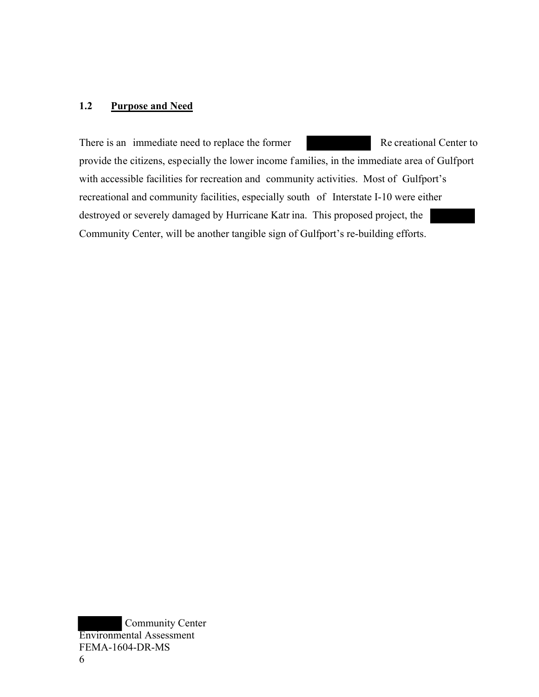## **1.2 Purpose and Need**

There is an immediate need to replace the former Re creational Center to provide the citizens, especially the lower income families, in the immediate area of Gulfport with accessible facilities for recreation and community activities. Most of Gulfport's recreational and community facilities, especially south of Interstate I-10 were either destroyed or severely damaged by Hurricane Katr ina. This proposed project, the Community Center, will be another tangible sign of Gulfport's re-building efforts.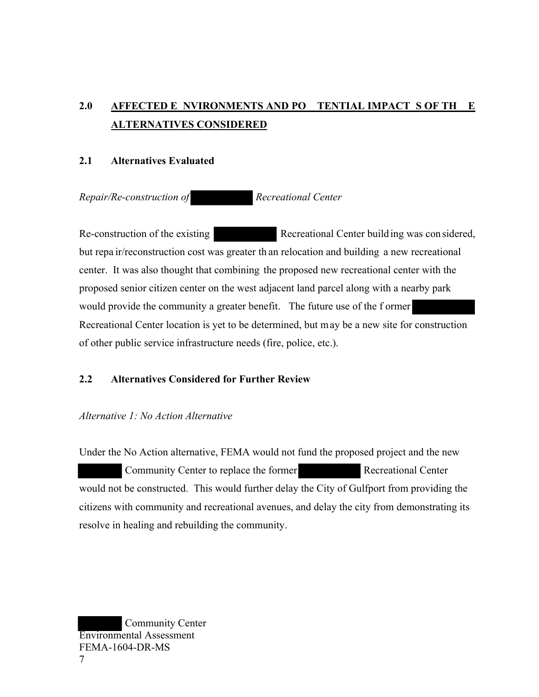# **2.0 AFFECTED E NVIRONMENTS AND PO TENTIAL IMPACT S OF TH E ALTERNATIVES CONSIDERED**

#### **2.1 Alternatives Evaluated**

*Repair/Re-construction of Recreational Center* 

Re-construction of the existing Recreational Center building was considered, but repa ir/reconstruction cost was greater th an relocation and building a new recreational center. It was also thought that combining the proposed new recreational center with the proposed senior citizen center on the west adjacent land parcel along with a nearby park would provide the community a greater benefit. The future use of the f ormer Recreational Center location is yet to be determined, but may be a new site for construction of other public service infrastructure needs (fire, police, etc.).

## **2.2 Alternatives Considered for Further Review**

#### *Alternative 1: No Action Alternative*

Under the No Action alternative, FEMA would not fund the proposed project and the new Community Center to replace the former Recreational Center would not be constructed. This would further delay the City of Gulfport from providing the citizens with community and recreational avenues, and delay the city from demonstrating its resolve in healing and rebuilding the community.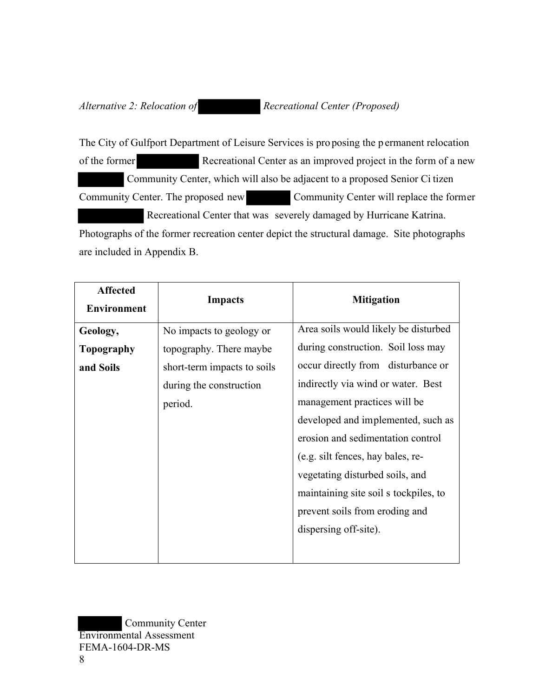*Alternative 2: Relocation of* **Recreational Center (Proposed)** 

The City of Gulfport Department of Leisure Services is pro posing the p ermanent relocation of the former Recreational Center as an improved project in the form of a new Community Center, which will also be adjacent to a proposed Senior Ci tizen Community Center. The proposed new Community Center will replace the former Recreational Center that was severely damaged by Hurricane Katrina. Photographs of the former recreation center depict the structural damage. Site photographs are included in Appendix B.

| <b>Affected</b><br><b>Environment</b> | <b>Impacts</b>              | <b>Mitigation</b>                     |
|---------------------------------------|-----------------------------|---------------------------------------|
| Geology,                              | No impacts to geology or    | Area soils would likely be disturbed  |
| Topography                            | topography. There maybe     | during construction. Soil loss may    |
| and Soils                             | short-term impacts to soils | occur directly from disturbance or    |
|                                       | during the construction     | indirectly via wind or water. Best    |
|                                       | period.                     | management practices will be          |
|                                       |                             | developed and implemented, such as    |
|                                       |                             | erosion and sedimentation control     |
|                                       |                             | (e.g. silt fences, hay bales, re-     |
|                                       |                             | vegetating disturbed soils, and       |
|                                       |                             | maintaining site soil s tockpiles, to |
|                                       |                             | prevent soils from eroding and        |
|                                       |                             | dispersing off-site).                 |
|                                       |                             |                                       |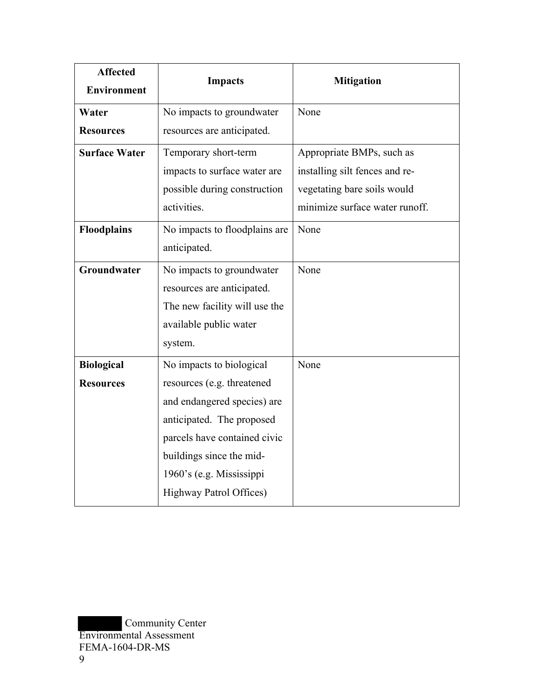| <b>Affected</b><br>Environment | <b>Impacts</b>                | <b>Mitigation</b>              |
|--------------------------------|-------------------------------|--------------------------------|
| Water                          | No impacts to groundwater     | None                           |
| <b>Resources</b>               | resources are anticipated.    |                                |
| <b>Surface Water</b>           | Temporary short-term          | Appropriate BMPs, such as      |
|                                | impacts to surface water are  | installing silt fences and re- |
|                                | possible during construction  | vegetating bare soils would    |
|                                | activities.                   | minimize surface water runoff. |
| <b>Floodplains</b>             | No impacts to floodplains are | None                           |
|                                | anticipated.                  |                                |
| Groundwater                    | No impacts to groundwater     | None                           |
|                                | resources are anticipated.    |                                |
|                                | The new facility will use the |                                |
|                                | available public water        |                                |
|                                | system.                       |                                |
| <b>Biological</b>              | No impacts to biological      | None                           |
| <b>Resources</b>               | resources (e.g. threatened    |                                |
|                                | and endangered species) are   |                                |
|                                | anticipated. The proposed     |                                |
|                                | parcels have contained civic  |                                |
|                                | buildings since the mid-      |                                |
|                                | 1960's (e.g. Mississippi      |                                |
|                                | Highway Patrol Offices)       |                                |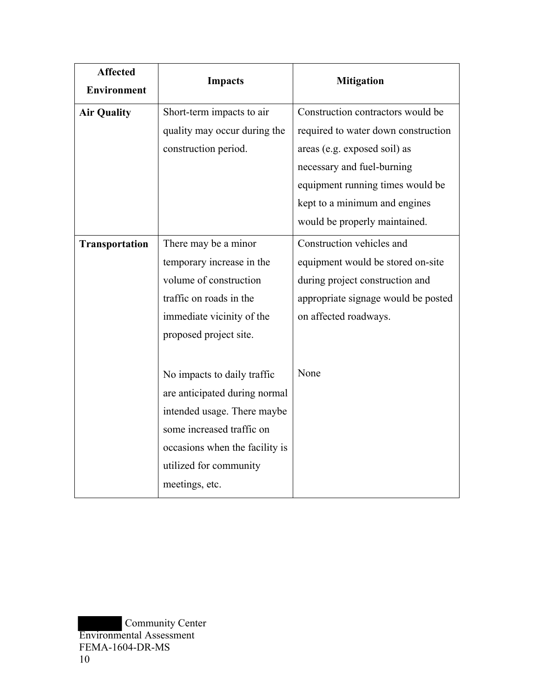| <b>Affected</b><br><b>Environment</b> | <b>Impacts</b>                                                                                                                                                                                         | <b>Mitigation</b>                                                                                                                                                                                           |
|---------------------------------------|--------------------------------------------------------------------------------------------------------------------------------------------------------------------------------------------------------|-------------------------------------------------------------------------------------------------------------------------------------------------------------------------------------------------------------|
| <b>Air Quality</b>                    | Short-term impacts to air<br>quality may occur during the<br>construction period.                                                                                                                      | Construction contractors would be<br>required to water down construction<br>areas (e.g. exposed soil) as<br>necessary and fuel-burning<br>equipment running times would be<br>kept to a minimum and engines |
| <b>Transportation</b>                 | There may be a minor<br>temporary increase in the<br>volume of construction<br>traffic on roads in the<br>immediate vicinity of the<br>proposed project site.                                          | would be properly maintained.<br>Construction vehicles and<br>equipment would be stored on-site<br>during project construction and<br>appropriate signage would be posted<br>on affected roadways.          |
|                                       | No impacts to daily traffic<br>are anticipated during normal<br>intended usage. There maybe<br>some increased traffic on<br>occasions when the facility is<br>utilized for community<br>meetings, etc. | None                                                                                                                                                                                                        |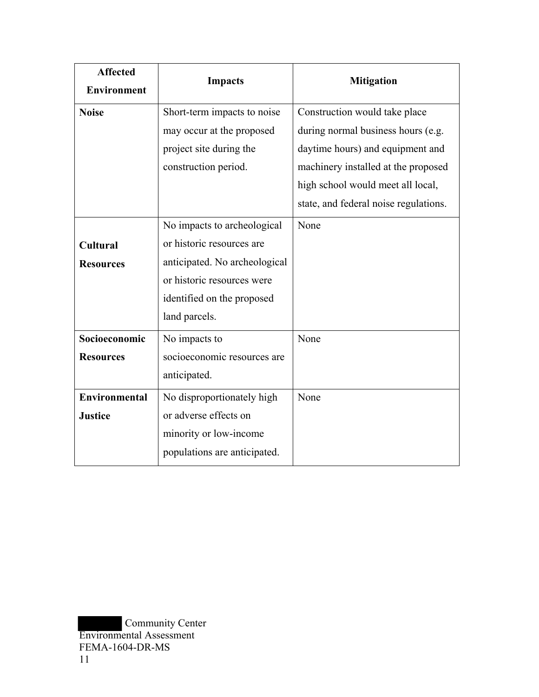| <b>Affected</b>      | <b>Impacts</b>                | <b>Mitigation</b>                     |
|----------------------|-------------------------------|---------------------------------------|
| <b>Environment</b>   |                               |                                       |
| <b>Noise</b>         | Short-term impacts to noise   | Construction would take place         |
|                      | may occur at the proposed     | during normal business hours (e.g.    |
|                      | project site during the       | daytime hours) and equipment and      |
|                      | construction period.          | machinery installed at the proposed   |
|                      |                               | high school would meet all local,     |
|                      |                               | state, and federal noise regulations. |
|                      | No impacts to archeological   | None                                  |
| <b>Cultural</b>      | or historic resources are     |                                       |
| <b>Resources</b>     | anticipated. No archeological |                                       |
|                      | or historic resources were    |                                       |
|                      | identified on the proposed    |                                       |
|                      | land parcels.                 |                                       |
| Socioeconomic        | No impacts to                 | None                                  |
| <b>Resources</b>     | socioeconomic resources are   |                                       |
|                      | anticipated.                  |                                       |
| <b>Environmental</b> | No disproportionately high    | None                                  |
| <b>Justice</b>       | or adverse effects on         |                                       |
|                      | minority or low-income        |                                       |
|                      | populations are anticipated.  |                                       |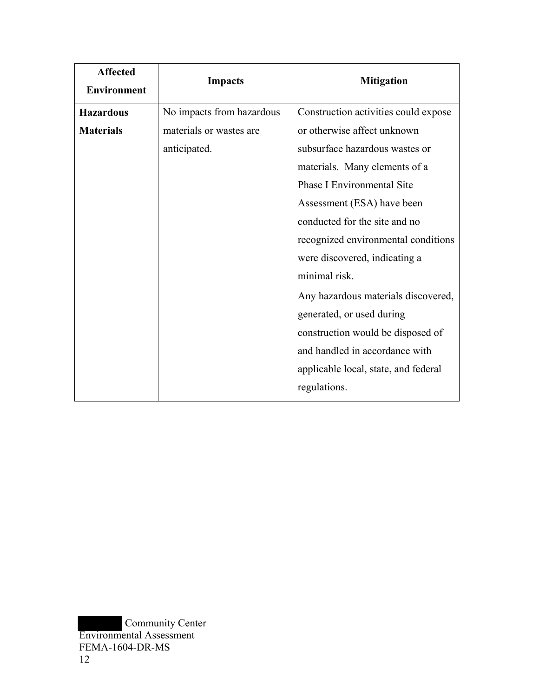| <b>Affected</b><br><b>Environment</b> | <b>Impacts</b>            | <b>Mitigation</b>                    |
|---------------------------------------|---------------------------|--------------------------------------|
| <b>Hazardous</b>                      | No impacts from hazardous | Construction activities could expose |
| <b>Materials</b>                      | materials or wastes are   | or otherwise affect unknown          |
|                                       | anticipated.              | subsurface hazardous wastes or       |
|                                       |                           | materials. Many elements of a        |
|                                       |                           | <b>Phase I Environmental Site</b>    |
|                                       |                           | Assessment (ESA) have been           |
|                                       |                           | conducted for the site and no        |
|                                       |                           | recognized environmental conditions  |
|                                       |                           | were discovered, indicating a        |
|                                       |                           | minimal risk.                        |
|                                       |                           | Any hazardous materials discovered,  |
|                                       |                           | generated, or used during            |
|                                       |                           | construction would be disposed of    |
|                                       |                           | and handled in accordance with       |
|                                       |                           | applicable local, state, and federal |
|                                       |                           | regulations.                         |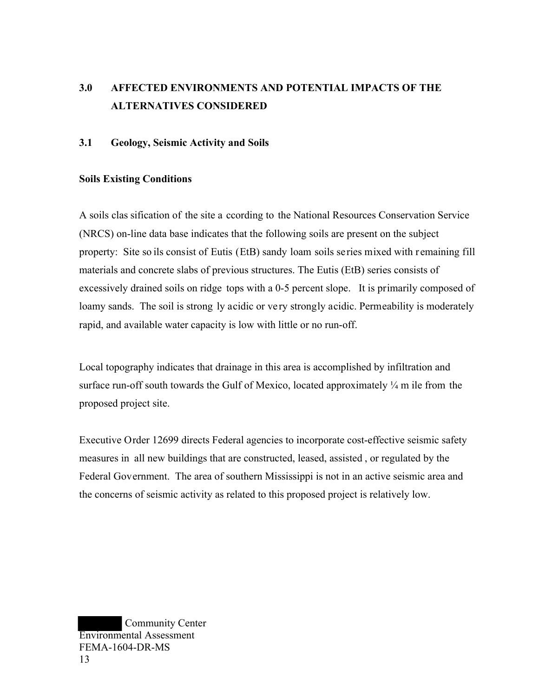# **3.0 AFFECTED ENVIRONMENTS AND POTENTIAL IMPACTS OF THE ALTERNATIVES CONSIDERED**

### **3.1 Geology, Seismic Activity and Soils**

#### **Soils Existing Conditions**

A soils clas sification of the site a ccording to the National Resources Conservation Service (NRCS) on-line data base indicates that the following soils are present on the subject property: Site so ils consist of Eutis (EtB) sandy loam soils series mixed with remaining fill materials and concrete slabs of previous structures. The Eutis (EtB) series consists of excessively drained soils on ridge tops with a 0-5 percent slope. It is primarily composed of loamy sands. The soil is strong ly acidic or very strongly acidic. Permeability is moderately rapid, and available water capacity is low with little or no run-off.

Local topography indicates that drainage in this area is accomplished by infiltration and surface run-off south towards the Gulf of Mexico, located approximately  $\frac{1}{4}$  m ile from the proposed project site.

Executive Order 12699 directs Federal agencies to incorporate cost-effective seismic safety measures in all new buildings that are constructed, leased, assisted , or regulated by the Federal Government. The area of southern Mississippi is not in an active seismic area and the concerns of seismic activity as related to this proposed project is relatively low.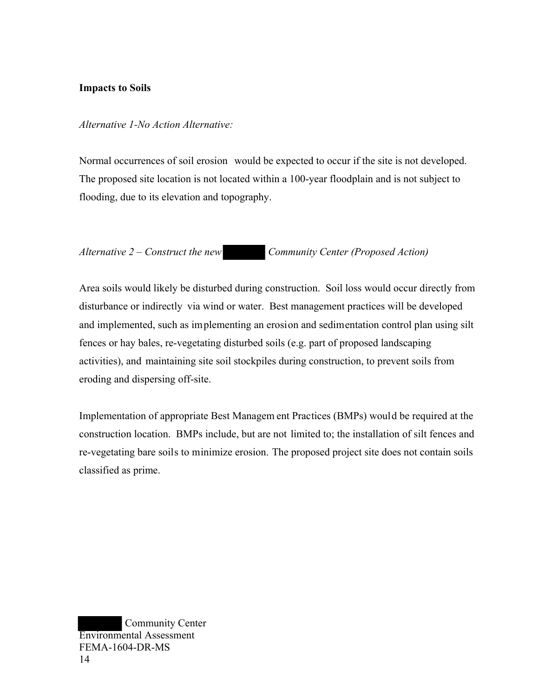#### **Impacts to Soils**

#### *Alternative 1-No Action Alternative:*

Normal occurrences of soil erosion would be expected to occur if the site is not developed. The proposed site location is not located within a 100-year floodplain and is not subject to flooding, due to its elevation and topography.

## *Alternative 2 – Construct the new Community Center (Proposed Action)*

Area soils would likely be disturbed during construction. Soil loss would occur directly from disturbance or indirectly via wind or water. Best management practices will be developed and implemented, such as implementing an erosion and sedimentation control plan using silt fences or hay bales, re-vegetating disturbed soils (e.g. part of proposed landscaping activities), and maintaining site soil stockpiles during construction, to prevent soils from eroding and dispersing off-site.

Implementation of appropriate Best Managem ent Practices (BMPs) would be required at the construction location. BMPs include, but are not limited to; the installation of silt fences and re-vegetating bare soils to minimize erosion. The proposed project site does not contain soils classified as prime.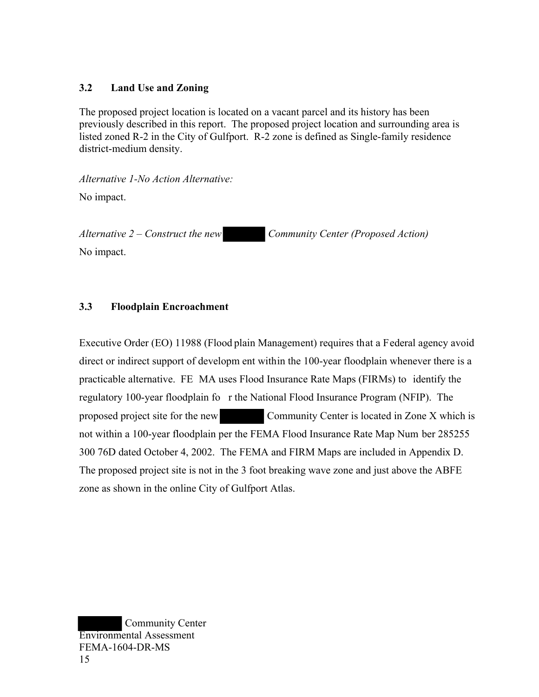## **3.2 Land Use and Zoning**

The proposed project location is located on a vacant parcel and its history has been previously described in this report. The proposed project location and surrounding area is listed zoned R-2 in the City of Gulfport. R-2 zone is defined as Single-family residence district-medium density.

*Alternative 1-No Action Alternative:* 

No impact.

*Alternative 2 – Construct the new Community Center (Proposed Action)* 

No impact.

## **3.3 Floodplain Encroachment**

Executive Order (EO) 11988 (Flood plain Management) requires that a Federal agency avoid direct or indirect support of developm ent within the 100-year floodplain whenever there is a practicable alternative. FE MA uses Flood Insurance Rate Maps (FIRMs) to identify the regulatory 100-year floodplain fo r the National Flood Insurance Program (NFIP). The proposed project site for the new Community Center is located in Zone X which is not within a 100-year floodplain per the FEMA Flood Insurance Rate Map Num ber 285255 300 76D dated October 4, 2002. The FEMA and FIRM Maps are included in Appendix D. The proposed project site is not in the 3 foot breaking wave zone and just above the ABFE zone as shown in the online City of Gulfport Atlas.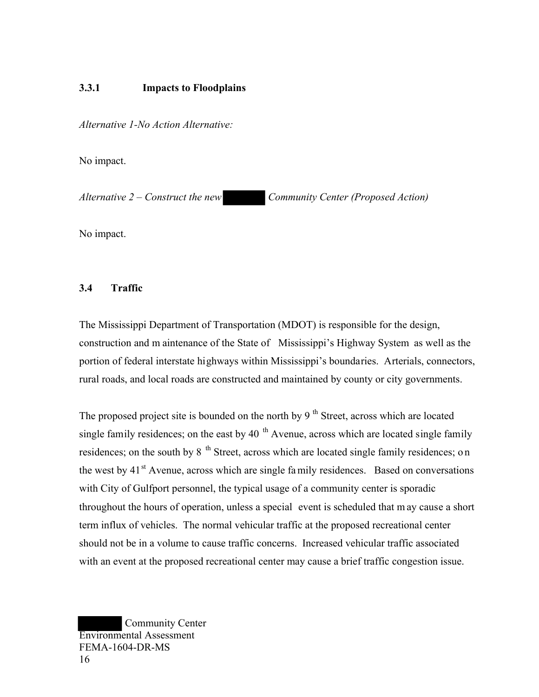### **3.3.1 Impacts to Floodplains**

*Alternative 1-No Action Alternative:* 

No impact.

*Alternative 2 – Construct the new Community Center (Proposed Action)* 

No impact.

### **3.4 Traffic**

The Mississippi Department of Transportation (MDOT) is responsible for the design, construction and m aintenance of the State of Mississippi's Highway System as well as the portion of federal interstate highways within Mississippi's boundaries. Arterials, connectors, rural roads, and local roads are constructed and maintained by county or city governments.

The proposed project site is bounded on the north by  $9<sup>th</sup>$  Street, across which are located single family residences; on the east by 40  $<sup>th</sup>$  Avenue, across which are located single family</sup> residences; on the south by  $8<sup>th</sup>$  Street, across which are located single family residences; on the west by  $41<sup>st</sup>$  Avenue, across which are single family residences. Based on conversations with City of Gulfport personnel, the typical usage of a community center is sporadic throughout the hours of operation, unless a special event is scheduled that m ay cause a short term influx of vehicles. The normal vehicular traffic at the proposed recreational center should not be in a volume to cause traffic concerns. Increased vehicular traffic associated with an event at the proposed recreational center may cause a brief traffic congestion issue.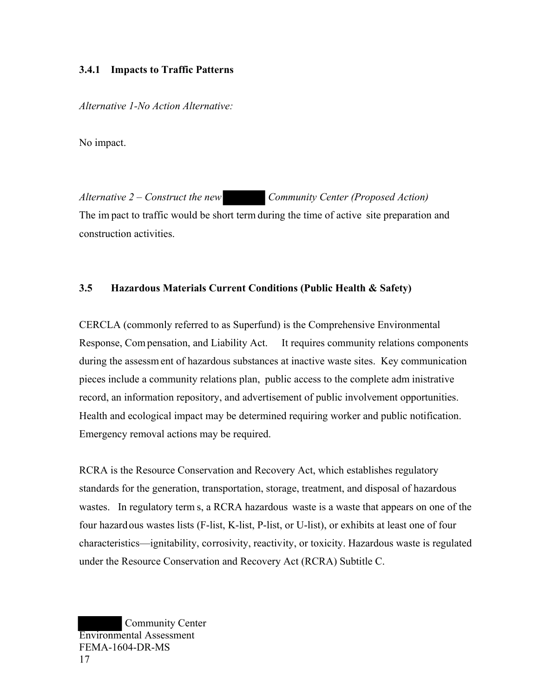#### **3.4.1 Impacts to Traffic Patterns**

*Alternative 1-No Action Alternative:* 

No impact.

*Alternative 2 – Construct the new Community Center (Proposed Action)*  The im pact to traffic would be short term during the time of active site preparation and construction activities.

## **3.5 Hazardous Materials Current Conditions (Public Health & Safety)**

CERCLA (commonly referred to as Superfund) is the Comprehensive Environmental Response, Com pensation, and Liability Act. It requires community relations components during the assessm ent of hazardous substances at inactive waste sites. Key communication pieces include a community relations plan, public access to the complete adm inistrative record, an information repository, and advertisement of public involvement opportunities. Health and ecological impact may be determined requiring worker and public notification. Emergency removal actions may be required.

RCRA is the Resource Conservation and Recovery Act, which establishes regulatory standards for the generation, transportation, storage, treatment, and disposal of hazardous wastes. In regulatory term s, a RCRA hazardous waste is a waste that appears on one of the four hazardous wastes lists (F-list, K-list, P-list, or U-list), or exhibits at least one of four characteristics—ignitability, corrosivity, reactivity, or toxicity. Hazardous waste is regulated under the Resource Conservation and Recovery Act (RCRA) Subtitle C.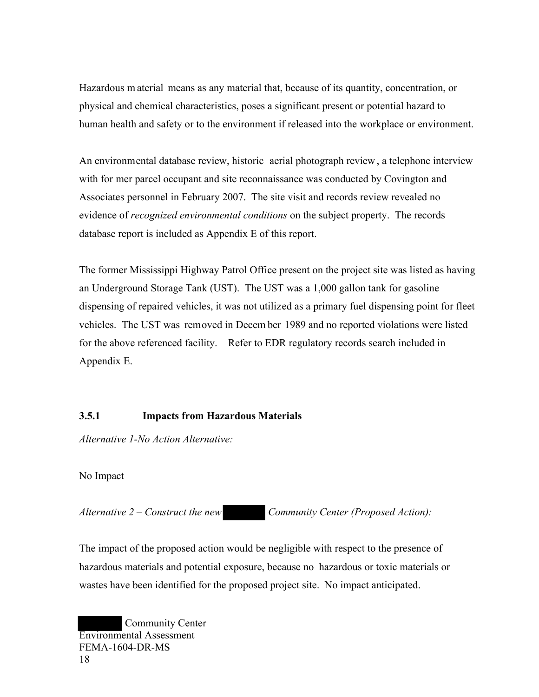Hazardous m aterial means as any material that, because of its quantity, concentration, or physical and chemical characteristics, poses a significant present or potential hazard to human health and safety or to the environment if released into the workplace or environment.

An environmental database review, historic aerial photograph review , a telephone interview with for mer parcel occupant and site reconnaissance was conducted by Covington and Associates personnel in February 2007. The site visit and records review revealed no evidence of *recognized environmental conditions* on the subject property. The records database report is included as Appendix E of this report.

The former Mississippi Highway Patrol Office present on the project site was listed as having an Underground Storage Tank (UST). The UST was a 1,000 gallon tank for gasoline dispensing of repaired vehicles, it was not utilized as a primary fuel dispensing point for fleet vehicles. The UST was removed in Decem ber 1989 and no reported violations were listed for the above referenced facility. Refer to EDR regulatory records search included in Appendix E.

## **3.5.1 Impacts from Hazardous Materials**

*Alternative 1-No Action Alternative:* 

No Impact

*Alternative 2 – Construct the new Community Center (Proposed Action):* 

The impact of the proposed action would be negligible with respect to the presence of hazardous materials and potential exposure, because no hazardous or toxic materials or wastes have been identified for the proposed project site. No impact anticipated.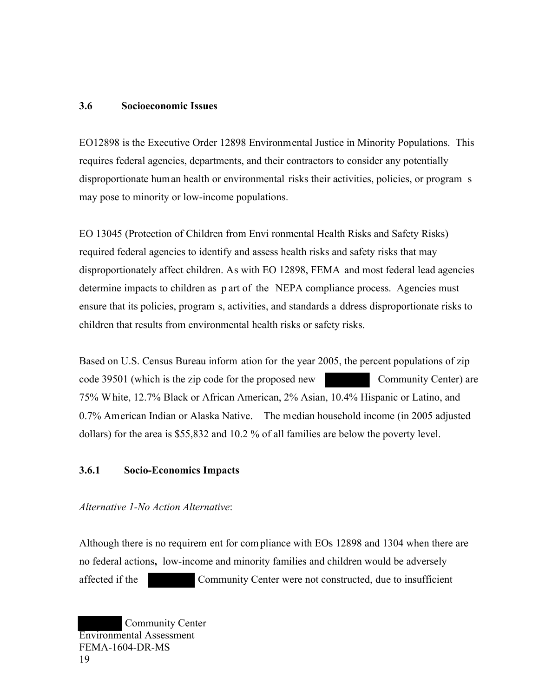#### **3.6 Socioeconomic Issues**

EO12898 is the Executive Order 12898 Environmental Justice in Minority Populations. This requires federal agencies, departments, and their contractors to consider any potentially disproportionate human health or environmental risks their activities, policies, or program s may pose to minority or low-income populations.

EO 13045 (Protection of Children from Envi ronmental Health Risks and Safety Risks) required federal agencies to identify and assess health risks and safety risks that may disproportionately affect children. As with EO 12898, FEMA and most federal lead agencies determine impacts to children as p art of the NEPA compliance process. Agencies must ensure that its policies, program s, activities, and standards a ddress disproportionate risks to children that results from environmental health risks or safety risks.

Based on U.S. Census Bureau inform ation for the year 2005, the percent populations of zip code 39501 (which is the zip code for the proposed new Community Center) are 75% White, 12.7% Black or African American, 2% Asian, 10.4% Hispanic or Latino, and 0.7% American Indian or Alaska Native. The median household income (in 2005 adjusted dollars) for the area is \$55,832 and 10.2 % of all families are below the poverty level.

#### **3.6.1 Socio-Economics Impacts**

*Alternative 1-No Action Alternative*:

Although there is no requirem ent for com pliance with EOs 12898 and 1304 when there are no federal actions**,** low-income and minority families and children would be adversely affected if the Community Center were not constructed, due to insufficient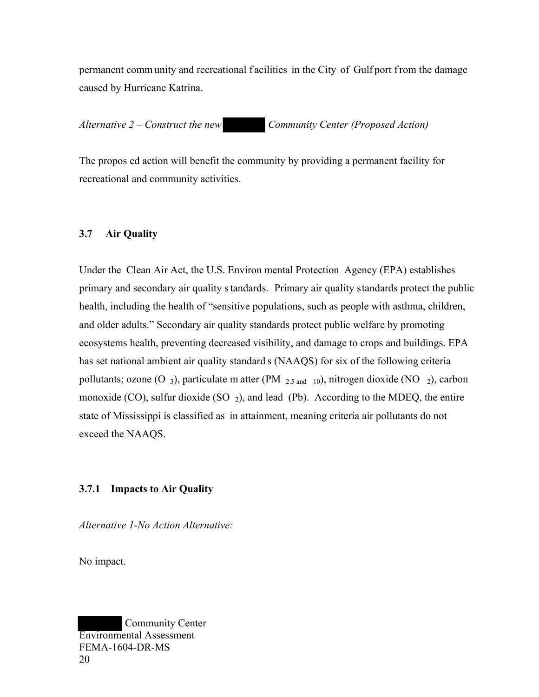permanent comm unity and recreational f acilities in the City of Gulf port f rom the damage caused by Hurricane Katrina.

*Alternative 2 – Construct the new Community Center (Proposed Action)* 

The propos ed action will benefit the community by providing a permanent facility for recreational and community activities.

## **3.7 Air Quality**

Under the Clean Air Act, the U.S. Environ mental Protection Agency (EPA) establishes primary and secondary air quality s tandards. Primary air quality standards protect the public health, including the health of "sensitive populations, such as people with asthma, children, and older adults." Secondary air quality standards protect public welfare by promoting ecosystems health, preventing decreased visibility, and damage to crops and buildings. EPA has set national ambient air quality standard s (NAAQS) for six of the following criteria pollutants; ozone (O 3), particulate m atter (PM  $_{2.5 \text{ and } 10}$ ), nitrogen dioxide (NO  $_2$ ), carbon monoxide (CO), sulfur dioxide (SO  $_2$ ), and lead (Pb). According to the MDEQ, the entire state of Mississippi is classified as in attainment, meaning criteria air pollutants do not exceed the NAAQS.

## **3.7.1 Impacts to Air Quality**

*Alternative 1-No Action Alternative:* 

No impact.

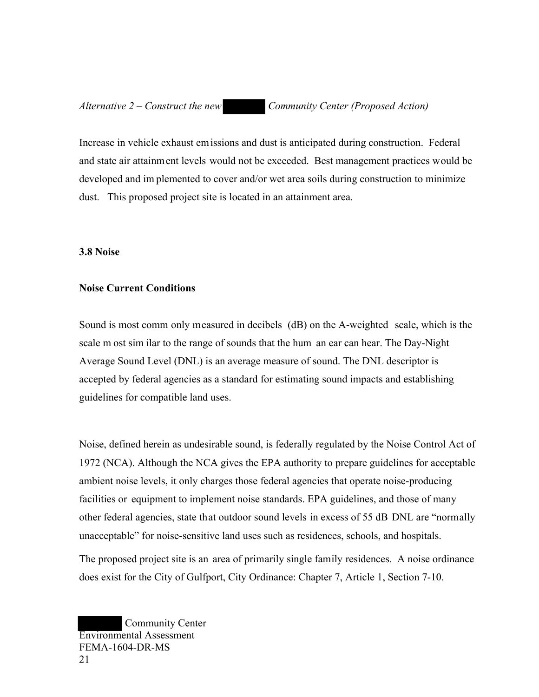*Alternative 2 – Construct the new Community Center (Proposed Action)* 

Increase in vehicle exhaust emissions and dust is anticipated during construction. Federal and state air attainment levels would not be exceeded. Best management practices would be developed and im plemented to cover and/or wet area soils during construction to minimize dust. This proposed project site is located in an attainment area.

#### **3.8 Noise**

#### **Noise Current Conditions**

Sound is most comm only measured in decibels (dB) on the A-weighted scale, which is the scale m ost sim ilar to the range of sounds that the hum an ear can hear. The Day-Night Average Sound Level (DNL) is an average measure of sound. The DNL descriptor is accepted by federal agencies as a standard for estimating sound impacts and establishing guidelines for compatible land uses.

Noise, defined herein as undesirable sound, is federally regulated by the Noise Control Act of 1972 (NCA). Although the NCA gives the EPA authority to prepare guidelines for acceptable ambient noise levels, it only charges those federal agencies that operate noise-producing facilities or equipment to implement noise standards. EPA guidelines, and those of many other federal agencies, state that outdoor sound levels in excess of 55 dB DNL are "normally unacceptable" for noise-sensitive land uses such as residences, schools, and hospitals.

The proposed project site is an area of primarily single family residences. A noise ordinance does exist for the City of Gulfport, City Ordinance: Chapter 7, Article 1, Section 7-10.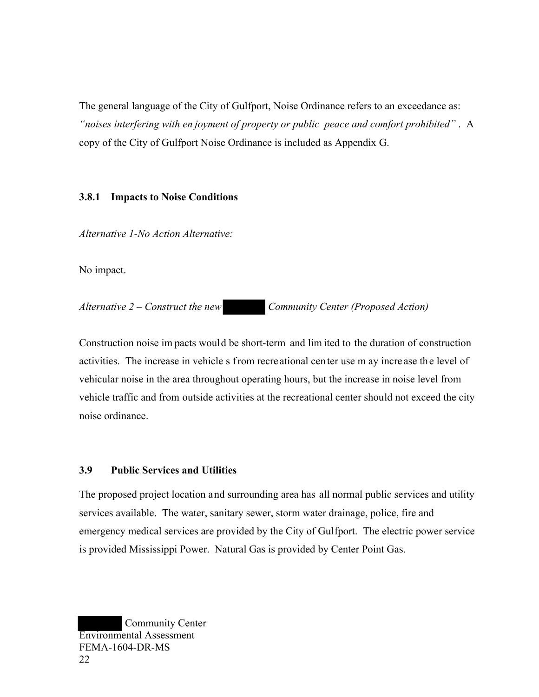The general language of the City of Gulfport, Noise Ordinance refers to an exceedance as: *"noises interfering with en joyment of property or public peace and comfort prohibited"* . A copy of the City of Gulfport Noise Ordinance is included as Appendix G.

## **3.8.1 Impacts to Noise Conditions**

*Alternative 1-No Action Alternative:* 

No impact.

*Alternative 2 – Construct the new Community Center (Proposed Action)* 

Construction noise im pacts would be short-term and lim ited to the duration of construction activities. The increase in vehicle s from recreational center use m ay increase the level of vehicular noise in the area throughout operating hours, but the increase in noise level from vehicle traffic and from outside activities at the recreational center should not exceed the city noise ordinance.

## **3.9 Public Services and Utilities**

The proposed project location and surrounding area has all normal public services and utility services available. The water, sanitary sewer, storm water drainage, police, fire and emergency medical services are provided by the City of Gulfport. The electric power service is provided Mississippi Power. Natural Gas is provided by Center Point Gas.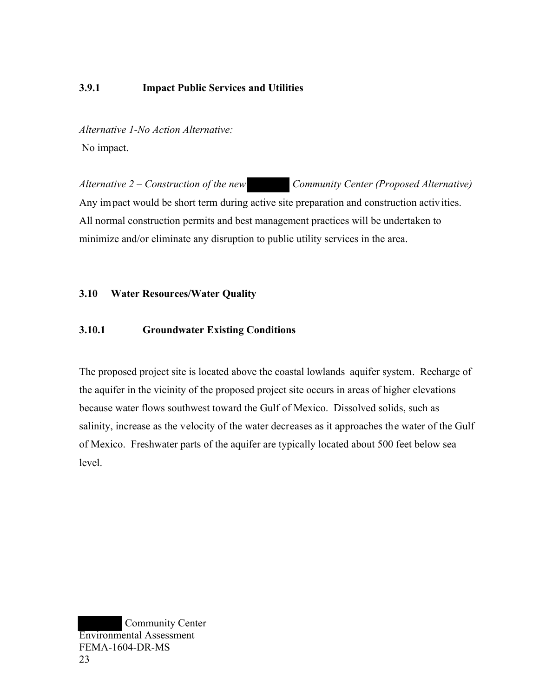## **3.9.1 Impact Public Services and Utilities**

*Alternative 1-No Action Alternative:*  No impact.

*Alternative 2 – Construction of the new Community Center (Proposed Alternative)*  Any impact would be short term during active site preparation and construction activ ities. All normal construction permits and best management practices will be undertaken to minimize and/or eliminate any disruption to public utility services in the area.

### **3.10 Water Resources/Water Quality**

#### **3.10.1 Groundwater Existing Conditions**

The proposed project site is located above the coastal lowlands aquifer system. Recharge of the aquifer in the vicinity of the proposed project site occurs in areas of higher elevations because water flows southwest toward the Gulf of Mexico. Dissolved solids, such as salinity, increase as the velocity of the water decreases as it approaches the water of the Gulf of Mexico. Freshwater parts of the aquifer are typically located about 500 feet below sea level.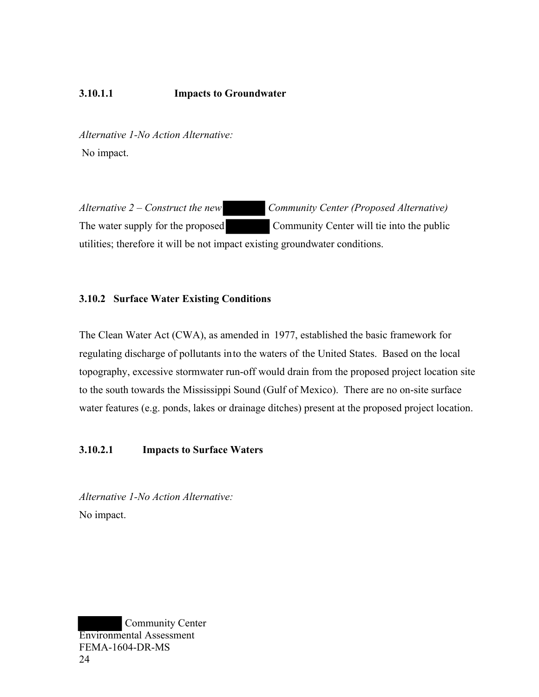## **3.10.1.1 Impacts to Groundwater**

*Alternative 1-No Action Alternative:*  No impact.

*Alternative 2 – Construct the new Community Center (Proposed Alternative)*  The water supply for the proposed Community Center will tie into the public utilities; therefore it will be not impact existing groundwater conditions.

#### **3.10.2 Surface Water Existing Conditions**

The Clean Water Act (CWA), as amended in 1977, established the basic framework for regulating discharge of pollutants into the waters of the United States. Based on the local topography, excessive stormwater run-off would drain from the proposed project location site to the south towards the Mississippi Sound (Gulf of Mexico). There are no on-site surface water features (e.g. ponds, lakes or drainage ditches) present at the proposed project location.

#### **3.10.2.1 Impacts to Surface Waters**

*Alternative 1-No Action Alternative:*  No impact.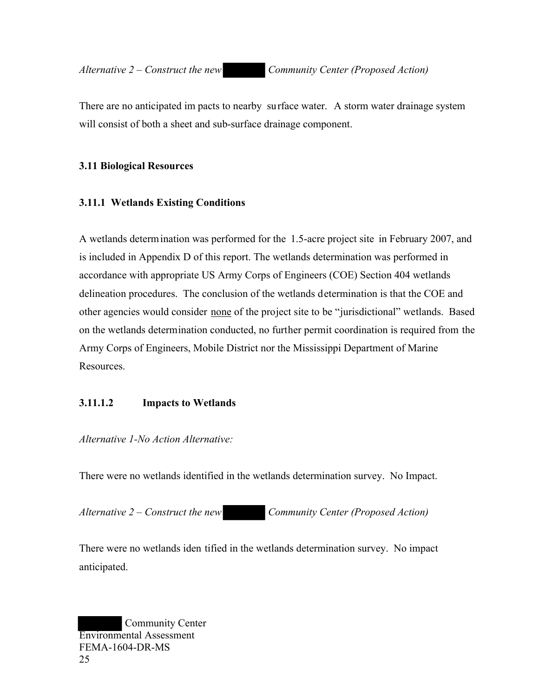There are no anticipated im pacts to nearby surface water. A storm water drainage system will consist of both a sheet and sub-surface drainage component.

#### **3.11 Biological Resources**

### **3.11.1 Wetlands Existing Conditions**

A wetlands determination was performed for the 1.5-acre project site in February 2007, and is included in Appendix D of this report. The wetlands determination was performed in accordance with appropriate US Army Corps of Engineers (COE) Section 404 wetlands delineation procedures. The conclusion of the wetlands determination is that the COE and other agencies would consider none of the project site to be "jurisdictional" wetlands. Based on the wetlands determination conducted, no further permit coordination is required from the Army Corps of Engineers, Mobile District nor the Mississippi Department of Marine Resources.

## **3.11.1.2 Impacts to Wetlands**

*Alternative 1-No Action Alternative:* 

There were no wetlands identified in the wetlands determination survey. No Impact.

*Alternative 2 – Construct the new Community Center (Proposed Action)* 

There were no wetlands iden tified in the wetlands determination survey. No impact anticipated.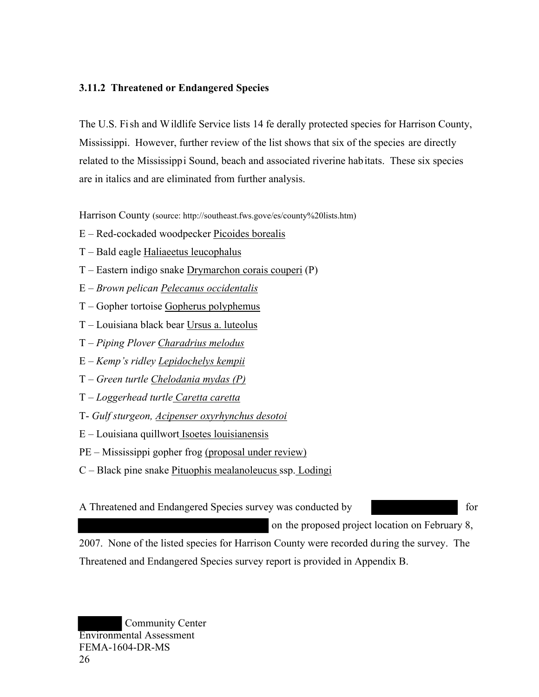## **3.11.2 Threatened or Endangered Species**

The U.S. Fi sh and Wildlife Service lists 14 fe derally protected species for Harrison County, Mississippi. However, further review of the list shows that six of the species are directly related to the Mississippi Sound, beach and associated riverine habitats. These six species are in italics and are eliminated from further analysis.

Harrison County (source: http://southeast.fws.gove/es/county%20lists.htm)

- E Red-cockaded woodpecker Picoides borealis
- T Bald eagle Haliaeetus leucophalus
- T Eastern indigo snake Drymarchon corais couperi (P)
- E *Brown pelican Pelecanus occidentalis*
- T Gopher tortoise Gopherus polyphemus
- T Louisiana black bear Ursus a. luteolus
- T *Piping Plover Charadrius melodus*
- E *Kemp's ridley Lepidochelys kempii*
- T *Green turtle Chelodania mydas (P)*
- T *Loggerhead turtle Caretta caretta*
- T- *Gulf sturgeon, Acipenser oxyrhynchus desotoi*
- E Louisiana quillwort Isoetes louisianensis
- PE Mississippi gopher frog (proposal under review)
- C Black pine snake Pituophis mealanoleucus ssp. Lodingi
- A Threatened and Endangered Species survey was conducted by for

on the proposed project location on February 8,

2007. None of the listed species for Harrison County were recorded during the survey. The Threatened and Endangered Species survey report is provided in Appendix B.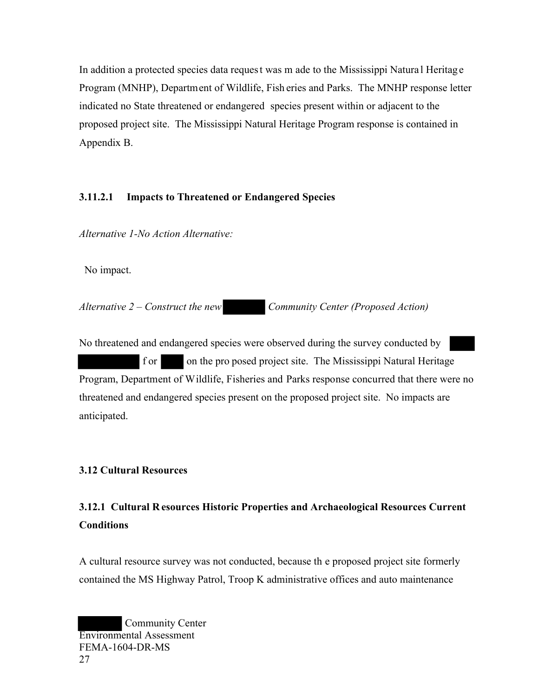In addition a protected species data reques t was m ade to the Mississippi Natura l Heritag e Program (MNHP), Department of Wildlife, Fish eries and Parks. The MNHP response letter indicated no State threatened or endangered species present within or adjacent to the proposed project site. The Mississippi Natural Heritage Program response is contained in Appendix B.

## **3.11.2.1 Impacts to Threatened or Endangered Species**

*Alternative 1-No Action Alternative:* 

No impact.

*Alternative 2 – Construct the new Community Center (Proposed Action)* 

No threatened and endangered species were observed during the survey conducted by f or on the pro posed project site. The Mississippi Natural Heritage Program, Department of Wildlife, Fisheries and Parks response concurred that there were no threatened and endangered species present on the proposed project site. No impacts are anticipated.

## **3.12 Cultural Resources**

## **3.12.1 Cultural R esources Historic Properties and Archaeological Resources Current Conditions**

A cultural resource survey was not conducted, because th e proposed project site formerly contained the MS Highway Patrol, Troop K administrative offices and auto maintenance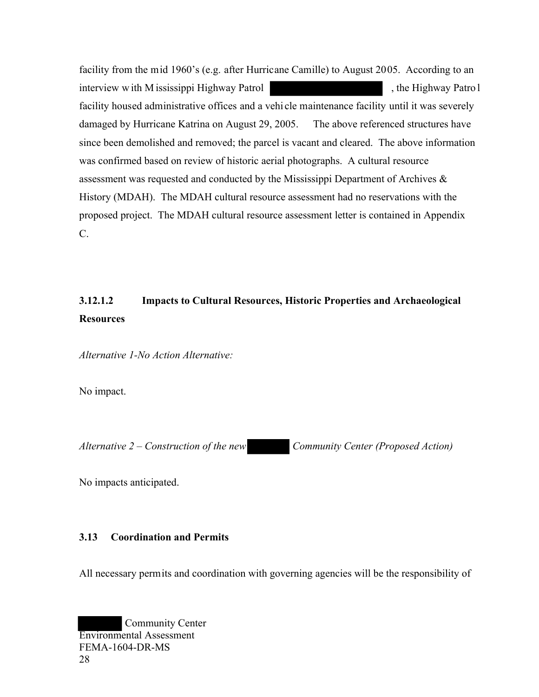facility from the mid 1960's (e.g. after Hurricane Camille) to August 2005. According to an interview w ith M ississippi Highway Patrol **the Example 2**, the Highway Patro l facility housed administrative offices and a vehi cle maintenance facility until it was severely damaged by Hurricane Katrina on August 29, 2005. The above referenced structures have since been demolished and removed; the parcel is vacant and cleared. The above information was confirmed based on review of historic aerial photographs. A cultural resource assessment was requested and conducted by the Mississippi Department of Archives & History (MDAH). The MDAH cultural resource assessment had no reservations with the proposed project. The MDAH cultural resource assessment letter is contained in Appendix C.

# **3.12.1.2 Impacts to Cultural Resources, Historic Properties and Archaeological Resources**

*Alternative 1-No Action Alternative:* 

No impact.

*Alternative 2 – Construction of the new Community Center (Proposed Action)* 

No impacts anticipated.

## **3.13 Coordination and Permits**

All necessary permits and coordination with governing agencies will be the responsibility of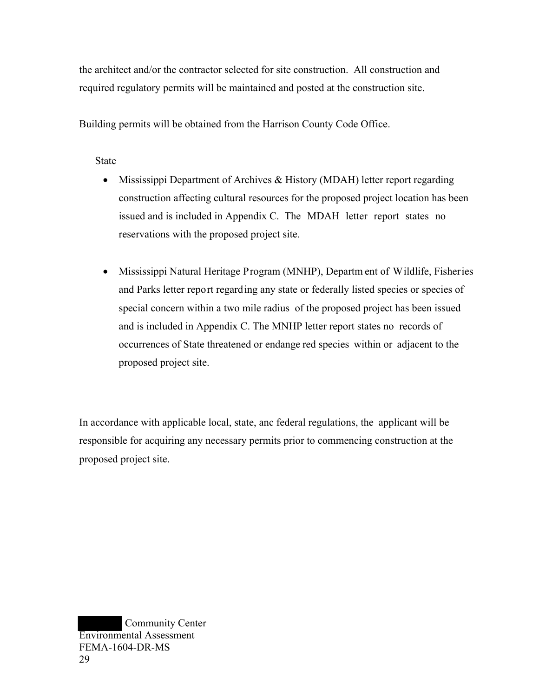the architect and/or the contractor selected for site construction. All construction and required regulatory permits will be maintained and posted at the construction site.

Building permits will be obtained from the Harrison County Code Office.

State

- Mississippi Department of Archives & History (MDAH) letter report regarding construction affecting cultural resources for the proposed project location has been issued and is included in Appendix C. The MDAH letter report states no reservations with the proposed project site.
- Mississippi Natural Heritage Program (MNHP), Departm ent of Wildlife, Fisheries and Parks letter report regarding any state or federally listed species or species of special concern within a two mile radius of the proposed project has been issued and is included in Appendix C. The MNHP letter report states no records of occurrences of State threatened or endange red species within or adjacent to the proposed project site.

In accordance with applicable local, state, anc federal regulations, the applicant will be responsible for acquiring any necessary permits prior to commencing construction at the proposed project site.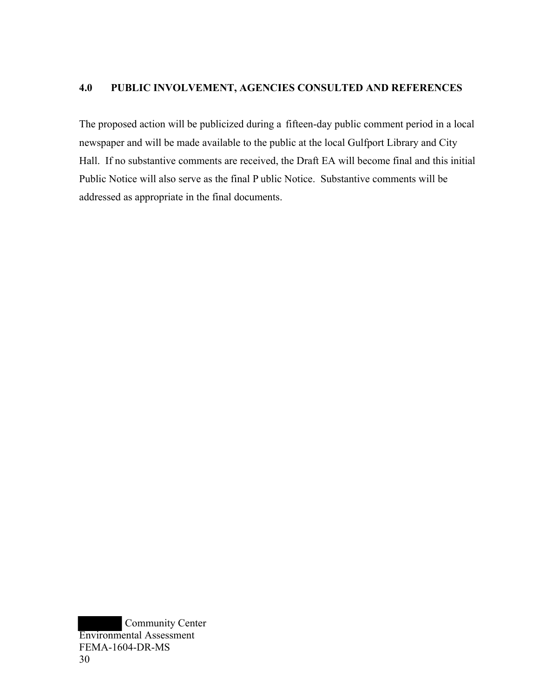## **4.0 PUBLIC INVOLVEMENT, AGENCIES CONSULTED AND REFERENCES**

The proposed action will be publicized during a fifteen-day public comment period in a local newspaper and will be made available to the public at the local Gulfport Library and City Hall. If no substantive comments are received, the Draft EA will become final and this initial Public Notice will also serve as the final P ublic Notice. Substantive comments will be addressed as appropriate in the final documents.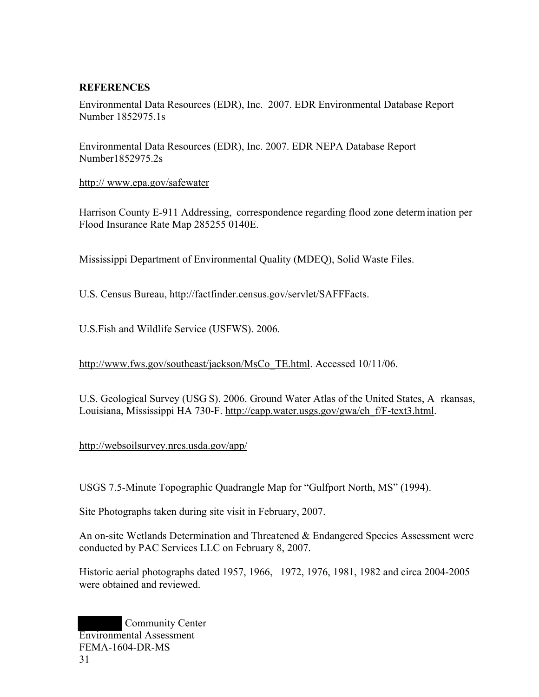## **REFERENCES**

Environmental Data Resources (EDR), Inc. 2007. EDR Environmental Database Report Number 1852975.1s

Environmental Data Resources (EDR), Inc. 2007. EDR NEPA Database Report Number1852975.2s

#### http:// www.epa.gov/safewater

Harrison County E-911 Addressing, correspondence regarding flood zone determ ination per Flood Insurance Rate Map 285255 0140E.

Mississippi Department of Environmental Quality (MDEQ), Solid Waste Files.

U.S. Census Bureau, http://factfinder.census.gov/servlet/SAFFFacts.

U.S.Fish and Wildlife Service (USFWS). 2006.

http://www.fws.gov/southeast/jackson/MsCo\_TE.html. Accessed 10/11/06.

U.S. Geological Survey (USG S). 2006. Ground Water Atlas of the United States, A rkansas, Louisiana, Mississippi HA 730-F. [http://capp.water.usgs.gov/gwa/ch\\_f/F-text3.html](http://capp.water.usgs.gov/gwa/ch_f/F-text3.html).

<http://websoilsurvey.nrcs.usda.gov/app/>

USGS 7.5-Minute Topographic Quadrangle Map for "Gulfport North, MS" (1994).

Site Photographs taken during site visit in February, 2007.

An on-site Wetlands Determination and Threatened & Endangered Species Assessment were conducted by PAC Services LLC on February 8, 2007.

Historic aerial photographs dated 1957, 1966, 1972, 1976, 1981, 1982 and circa 2004-2005 were obtained and reviewed.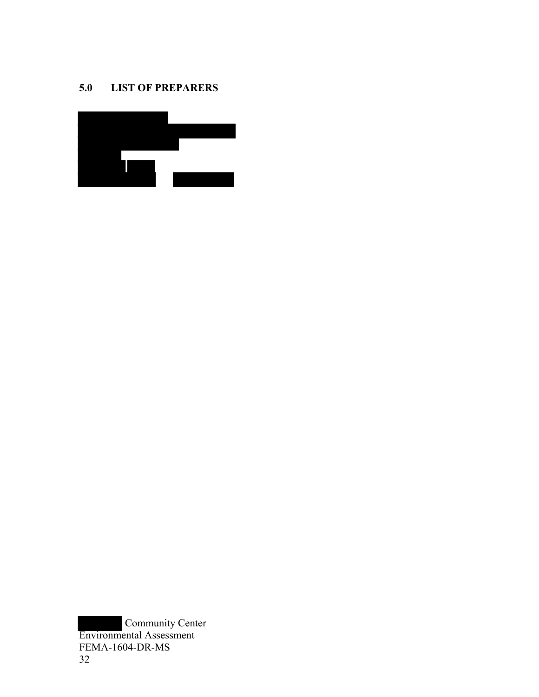## **5.0 LIST OF PREPARERS**